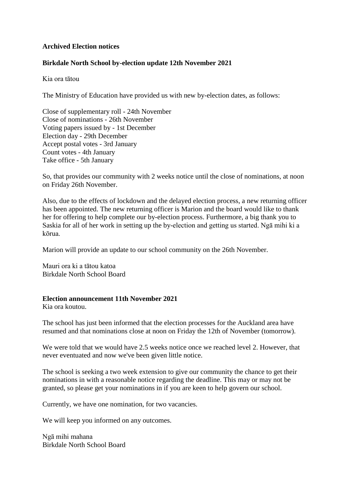# **Archived Election notices**

# **Birkdale North School by-election update 12th November 2021**

Kia ora tātou

The Ministry of Education have provided us with new by-election dates, as follows:

Close of supplementary roll - 24th November Close of nominations - 26th November Voting papers issued by - 1st December Election day - 29th December Accept postal votes - 3rd January Count votes - 4th January Take office - 5th January

So, that provides our community with 2 weeks notice until the close of nominations, at noon on Friday 26th November.

Also, due to the effects of lockdown and the delayed election process, a new returning officer has been appointed. The new returning officer is Marion and the board would like to thank her for offering to help complete our by-election process. Furthermore, a big thank you to Saskia for all of her work in setting up the by-election and getting us started. Ngā mihi ki a kōrua.

Marion will provide an update to our school community on the 26th November.

Mauri ora ki a tātou katoa Birkdale North School Board

## **Election announcement 11th November 2021**

Kia ora koutou.

The school has just been informed that the election processes for the Auckland area have resumed and that nominations close at noon on Friday the 12th of November (tomorrow).

We were told that we would have 2.5 weeks notice once we reached level 2. However, that never eventuated and now we've been given little notice.

The school is seeking a two week extension to give our community the chance to get their nominations in with a reasonable notice regarding the deadline. This may or may not be granted, so please get your nominations in if you are keen to help govern our school.

Currently, we have one nomination, for two vacancies.

We will keep you informed on any outcomes.

Ngā mihi mahana Birkdale North School Board